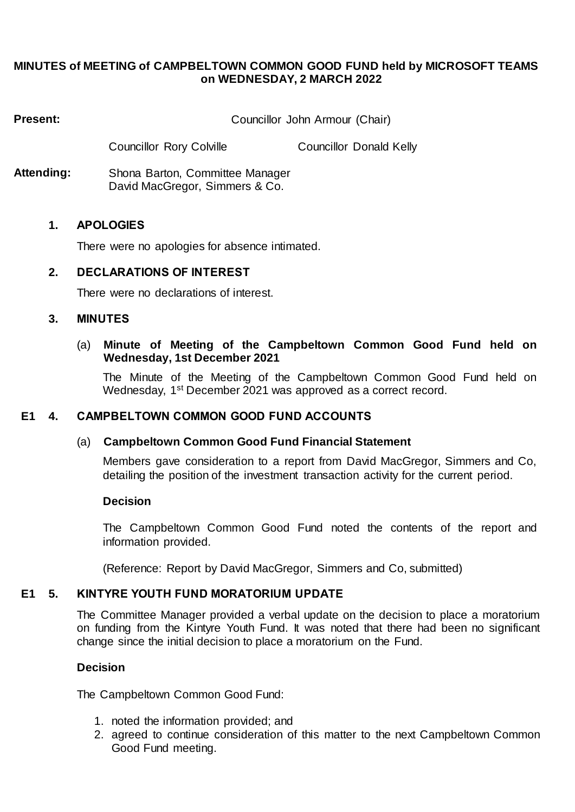# **MINUTES of MEETING of CAMPBELTOWN COMMON GOOD FUND held by MICROSOFT TEAMS on WEDNESDAY, 2 MARCH 2022**

**Present:** Councillor John Armour (Chair)

Councillor Rory Colville Councillor Donald Kelly

**Attending:** Shona Barton, Committee Manager David MacGregor, Simmers & Co.

## **1. APOLOGIES**

There were no apologies for absence intimated.

## **2. DECLARATIONS OF INTEREST**

There were no declarations of interest.

## **3. MINUTES**

## (a) **Minute of Meeting of the Campbeltown Common Good Fund held on Wednesday, 1st December 2021**

The Minute of the Meeting of the Campbeltown Common Good Fund held on Wednesday, 1st December 2021 was approved as a correct record.

# **E1 4. CAMPBELTOWN COMMON GOOD FUND ACCOUNTS**

## (a) **Campbeltown Common Good Fund Financial Statement**

Members gave consideration to a report from David MacGregor, Simmers and Co, detailing the position of the investment transaction activity for the current period.

## **Decision**

The Campbeltown Common Good Fund noted the contents of the report and information provided.

(Reference: Report by David MacGregor, Simmers and Co, submitted)

# **E1 5. KINTYRE YOUTH FUND MORATORIUM UPDATE**

The Committee Manager provided a verbal update on the decision to place a moratorium on funding from the Kintyre Youth Fund. It was noted that there had been no significant change since the initial decision to place a moratorium on the Fund.

## **Decision**

The Campbeltown Common Good Fund:

- 1. noted the information provided; and
- 2. agreed to continue consideration of this matter to the next Campbeltown Common Good Fund meeting.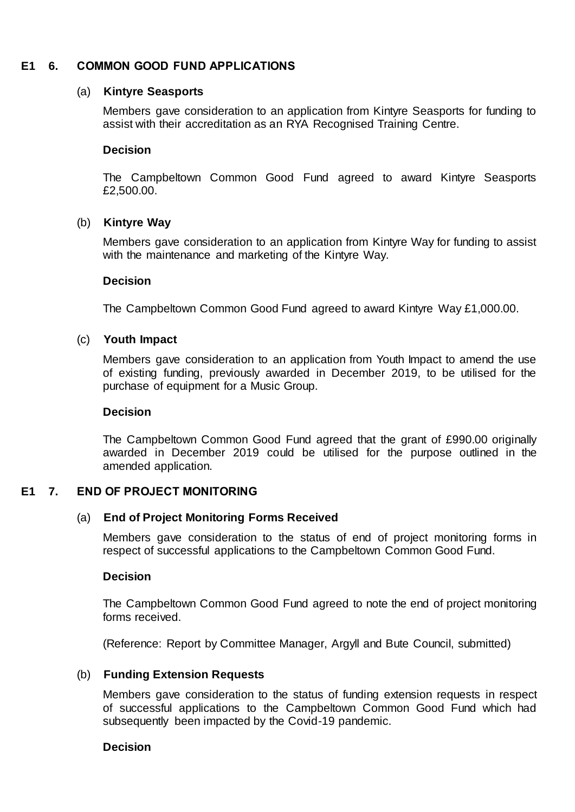# **E1 6. COMMON GOOD FUND APPLICATIONS**

#### (a) **Kintyre Seasports**

Members gave consideration to an application from Kintyre Seasports for funding to assist with their accreditation as an RYA Recognised Training Centre.

#### **Decision**

The Campbeltown Common Good Fund agreed to award Kintyre Seasports £2,500.00.

## (b) **Kintyre Way**

Members gave consideration to an application from Kintyre Way for funding to assist with the maintenance and marketing of the Kintyre Way.

#### **Decision**

The Campbeltown Common Good Fund agreed to award Kintyre Way £1,000.00.

#### (c) **Youth Impact**

Members gave consideration to an application from Youth Impact to amend the use of existing funding, previously awarded in December 2019, to be utilised for the purchase of equipment for a Music Group.

#### **Decision**

The Campbeltown Common Good Fund agreed that the grant of £990.00 originally awarded in December 2019 could be utilised for the purpose outlined in the amended application.

## **E1 7. END OF PROJECT MONITORING**

## (a) **End of Project Monitoring Forms Received**

Members gave consideration to the status of end of project monitoring forms in respect of successful applications to the Campbeltown Common Good Fund.

#### **Decision**

The Campbeltown Common Good Fund agreed to note the end of project monitoring forms received.

(Reference: Report by Committee Manager, Argyll and Bute Council, submitted)

## (b) **Funding Extension Requests**

Members gave consideration to the status of funding extension requests in respect of successful applications to the Campbeltown Common Good Fund which had subsequently been impacted by the Covid-19 pandemic.

## **Decision**